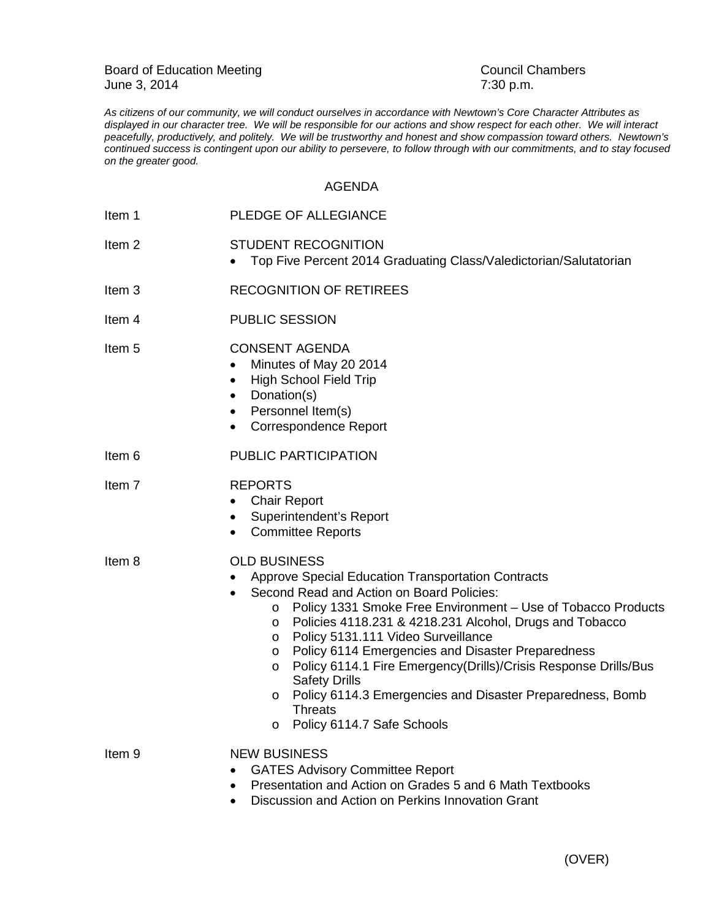Board of Education Meeting<br>
June 3, 2014<br>
Council Chambers<br>
7:30 p.m. June 3, 2014

*As citizens of our community, we will conduct ourselves in accordance with Newtown's Core Character Attributes as displayed in our character tree. We will be responsible for our actions and show respect for each other. We will interact peacefully, productively, and politely. We will be trustworthy and honest and show compassion toward others. Newtown's continued success is contingent upon our ability to persevere, to follow through with our commitments, and to stay focused on the greater good.*

## AGENDA

| Item 1            | PLEDGE OF ALLEGIANCE                                                                                                                                                                                                                                                                                                                                                                                                                                                                                                                                                                                       |
|-------------------|------------------------------------------------------------------------------------------------------------------------------------------------------------------------------------------------------------------------------------------------------------------------------------------------------------------------------------------------------------------------------------------------------------------------------------------------------------------------------------------------------------------------------------------------------------------------------------------------------------|
| Item <sub>2</sub> | <b>STUDENT RECOGNITION</b><br>Top Five Percent 2014 Graduating Class/Valedictorian/Salutatorian                                                                                                                                                                                                                                                                                                                                                                                                                                                                                                            |
| Item <sub>3</sub> | <b>RECOGNITION OF RETIREES</b>                                                                                                                                                                                                                                                                                                                                                                                                                                                                                                                                                                             |
| ltem 4            | <b>PUBLIC SESSION</b>                                                                                                                                                                                                                                                                                                                                                                                                                                                                                                                                                                                      |
| Item <sub>5</sub> | <b>CONSENT AGENDA</b><br>Minutes of May 20 2014<br>$\bullet$<br><b>High School Field Trip</b><br>٠<br>Donation(s)<br>Personnel Item(s)<br>٠<br><b>Correspondence Report</b><br>$\bullet$                                                                                                                                                                                                                                                                                                                                                                                                                   |
| Item 6            | PUBLIC PARTICIPATION                                                                                                                                                                                                                                                                                                                                                                                                                                                                                                                                                                                       |
| Item <sub>7</sub> | <b>REPORTS</b><br><b>Chair Report</b><br>٠<br>Superintendent's Report<br>$\bullet$<br><b>Committee Reports</b><br>$\bullet$                                                                                                                                                                                                                                                                                                                                                                                                                                                                                |
| Item 8            | <b>OLD BUSINESS</b><br>Approve Special Education Transportation Contracts<br>Second Read and Action on Board Policies:<br>Policy 1331 Smoke Free Environment - Use of Tobacco Products<br>$\circ$<br>Policies 4118.231 & 4218.231 Alcohol, Drugs and Tobacco<br>O<br>Policy 5131.111 Video Surveillance<br>O<br><b>Policy 6114 Emergencies and Disaster Preparedness</b><br>O<br>Policy 6114.1 Fire Emergency(Drills)/Crisis Response Drills/Bus<br>O<br><b>Safety Drills</b><br>Policy 6114.3 Emergencies and Disaster Preparedness, Bomb<br>O<br><b>Threats</b><br>Policy 6114.7 Safe Schools<br>$\circ$ |
| Item <sub>9</sub> | <b>NEW BUSINESS</b><br><b>GATES Advisory Committee Report</b><br>Presentation and Action on Grades 5 and 6 Math Textbooks<br>Discussion and Action on Perkins Innovation Grant                                                                                                                                                                                                                                                                                                                                                                                                                             |
|                   |                                                                                                                                                                                                                                                                                                                                                                                                                                                                                                                                                                                                            |